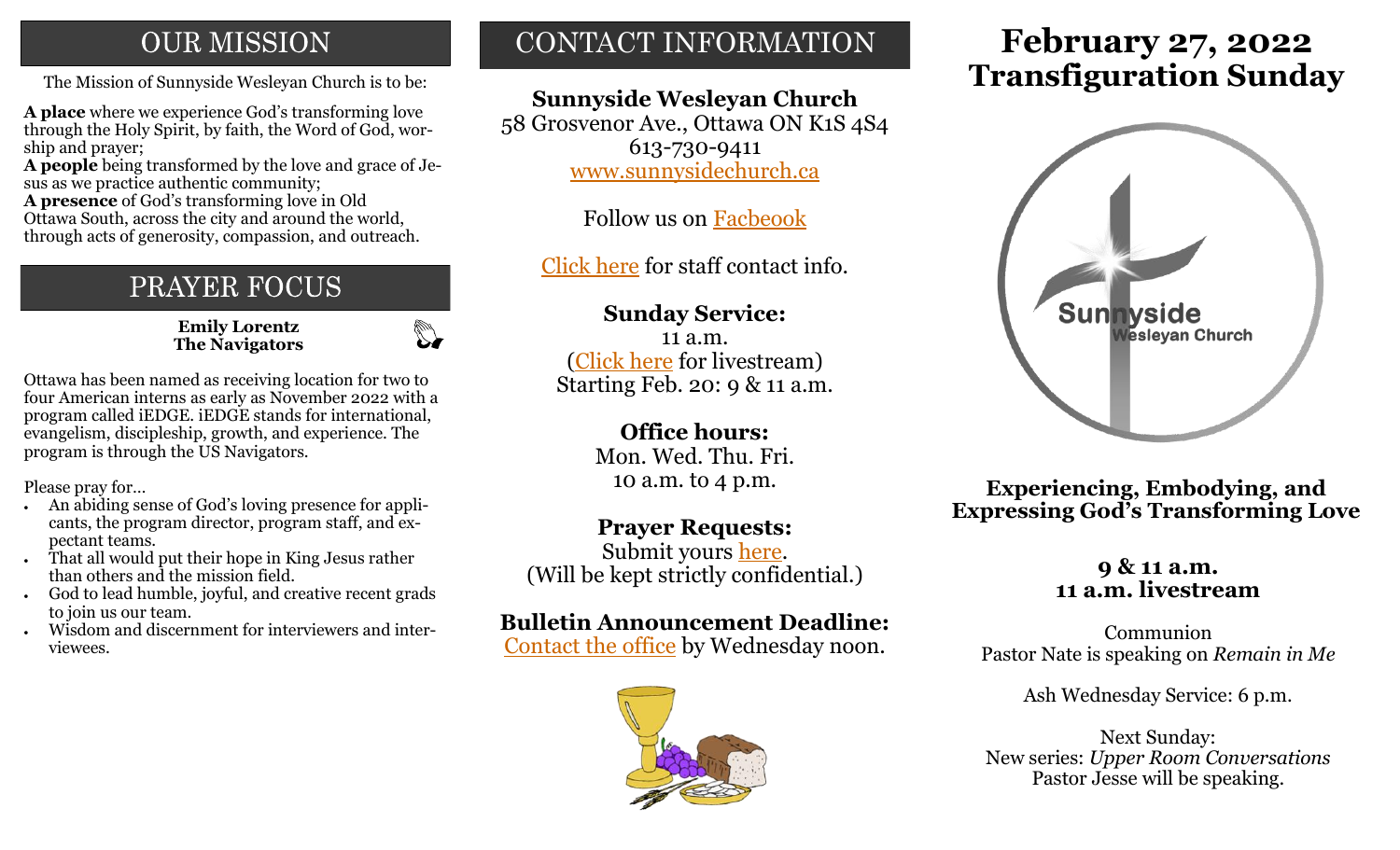# **OUR MISSION**

**A place** where we experience God's transforming love through the Holy Spirit, by faith, the Word of God, worship and prayer;

**A people** being transformed by the love and grace of Jesus as we practice authentic community;

**A presence** of God's transforming love in Old Ottawa South, across the city and around the world, through acts of generosity, compassion, and outreach.

# PRAYER FOCUS

**Emily Lorentz The Navigators**  $\mathbb{Z}$ 

Ottawa has been named as receiving location for two to four American interns as early as November 2022 with a program called iEDGE. iEDGE stands for international, evangelism, discipleship, growth, and experience. The program is through the US Navigators.

Please pray for…

- An abiding sense of God's loving presence for applicants, the program director, program staff, and expectant teams.
- That all would put their hope in King Jesus rather than others and the mission field.
- God to lead humble, joyful, and creative recent grads to join us our team.
- Wisdom and discernment for interviewers and interviewees.

# CONTACT INFORMATION

## **Sunnyside Wesleyan Church**

58 Grosvenor Ave., Ottawa ON K1S 4S4 613-730-9411 [www.sunnysidechurch.ca](http://www.sunnysidechurch.ca)

Follow us on [Facbeook](http://www.facebook.com/sunnysidewesleyanchurch)

[Click here](http://www.sunnysidechurch.ca/about-sunnyside/staff/) for staff contact info.

## **Sunday Service:**

11 a.m. [\(Click here](https://youtube.com/channel/UCYfl9Qy37Az7fqqFQpDEwjg) for livestream) Starting Feb. 20: 9 & 11 a.m.

## **Office hours:**

Mon. Wed. Thu. Fri. 10 a.m. to 4 p.m.

## **Prayer Requests:**

Submit yours [here.](mailto:prayer@sunnysidechurch.ca) (Will be kept strictly confidential.)

## **Bulletin Announcement Deadline:**

[Contact the office](mailto:office@sunnysidechurch.ca) by Wednesday noon.



# **February 27, 2022** The Mission of Sunnyside Wesleyan Church is to be: **The Mission of Sunday** Transfiguration Sunday



**Experiencing, Embodying, and Expressing God's Transforming Love**

## **9 & 11 a.m. 11 a.m. livestream**

Communion Pastor Nate is speaking on *Remain in Me*

Ash Wednesday Service: 6 p.m.

Next Sunday: New series: *Upper Room Conversations* Pastor Jesse will be speaking.